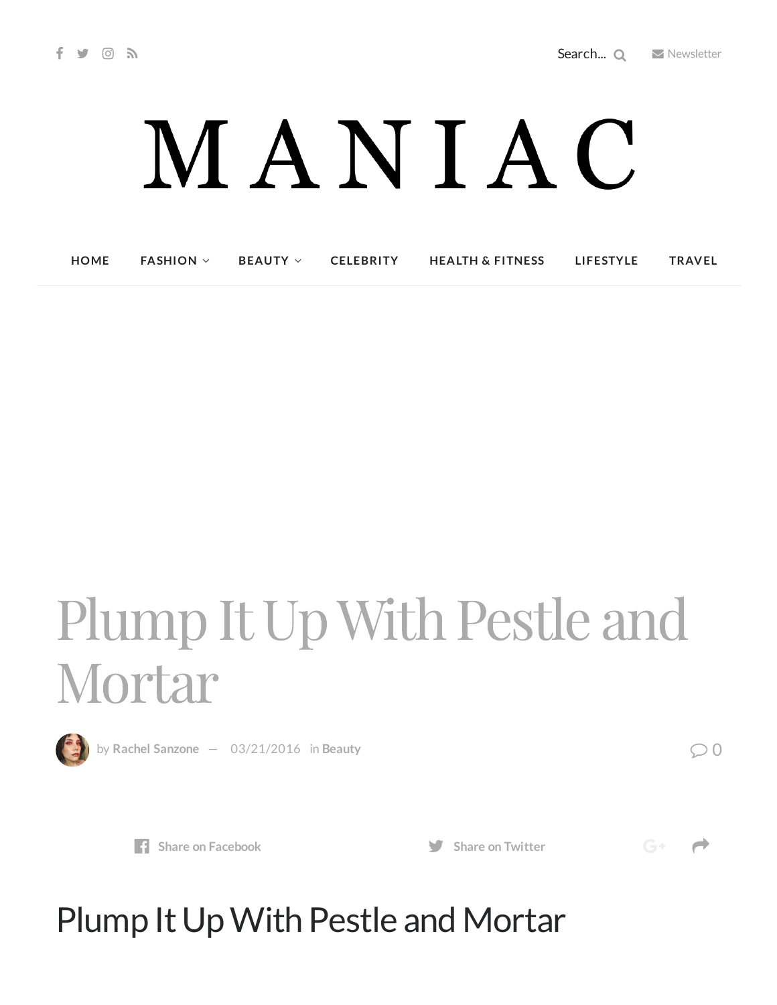# MANIAC

**[HOME](http://maniacmagazine.com/) [FASHION](http://maniacmagazine.com/fashion/) [BEAUTY](http://maniacmagazine.com/beauty/) [CELEBRITY](http://maniacmagazine.com/celebrity/) HEALTH & [FITNESS](http://maniacmagazine.com/beauty/health-and-fitness/) [LIFESTYLE](http://maniacmagazine.com/lifestyle/) [TRAVEL](http://maniacmagazine.com/life/travel/)**

## Plump It Up With Pestle and Mortar



by Rachel [Sanzone](http://maniacmagazine.com/author/rachel/)  $-$  [03/21/2016](http://maniacmagazine.com/beauty/plump-it-up-with-pestle-and-mortar/) in [Beauty](http://maniacmagazine.com/beauty/)  $\bigcirc$  0



**Share** on **[Facebook](http://www.facebook.com/sharer.php?u=http%3A%2F%2Fmaniacmagazine.com%2Fbeauty%2Fplump-it-up-with-pestle-and-mortar%2F) Share Share** on **[Twitter](https://twitter.com/intent/tweet?text=Plump+It+Up+With+Pestle+and+Mortar&url=http%3A%2F%2Fmaniacmagazine.com%2Fbeauty%2Fplump-it-up-with-pestle-and-mortar%2F)** 

 $G^+$   $\rightarrow$ 

### Plump It Up With Pestle and Mortar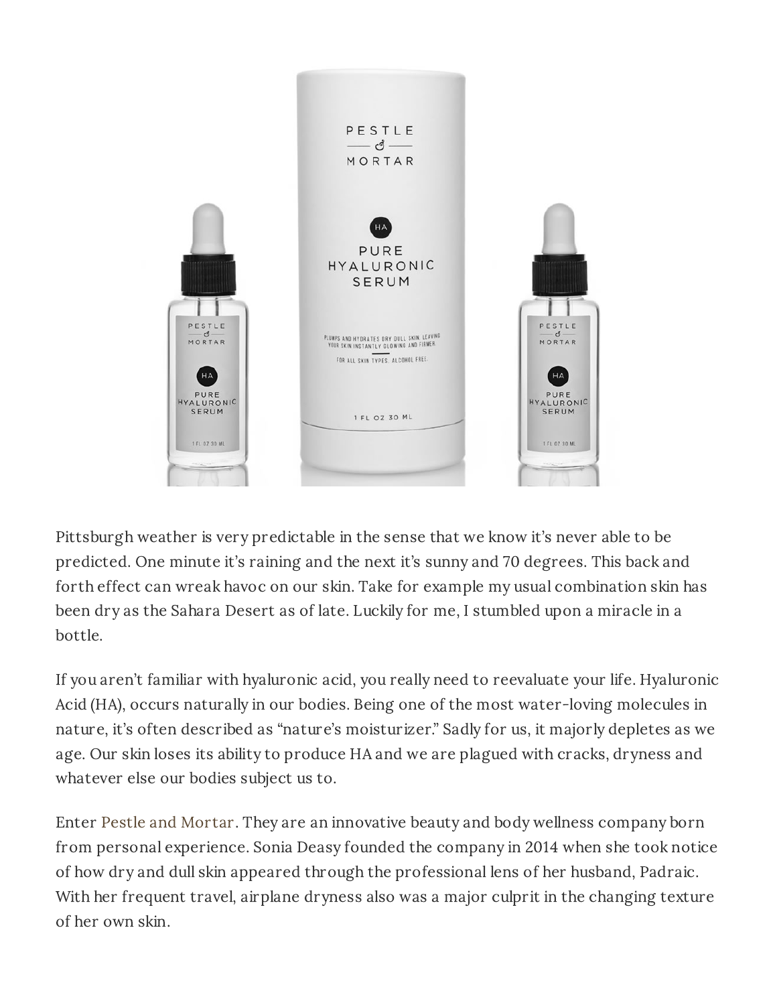

Pittsburgh weather is very predictable in the sense that we know it's never able to be predicted. One minute it's raining and the next it's sunny and 70 degrees. This back and forth effect can wreak havoc on our skin. Take for example my usual combination skin has been dry as the Sahara Desert as of late. Luckily for me, I stumbled upon a miracle in a bottle.

If you aren't familiar with hyaluronic acid, you really need to reevaluate your life. Hyaluronic Acid (HA), occurs naturally in our bodies. Being one of the most water-loving molecules in nature, it's often described as "nature's moisturizer." Sadly for us, it majorly depletes as we age. Our skin loses its ability to produce HA and we are plagued with cracks, dryness and whatever else our bodies subject us to.

Enter Pestle and [Mortar.](https://www.pestleandmortarcosmetics.com/us/) They are an innovative beauty and body wellness company born from personal experience. Sonia Deasy founded the company in 2014 when she took notice of how dry and dull skin appeared through the professional lens of her husband, Padraic. With her frequent travel, airplane dryness also was a major culprit in the changing texture of her own skin.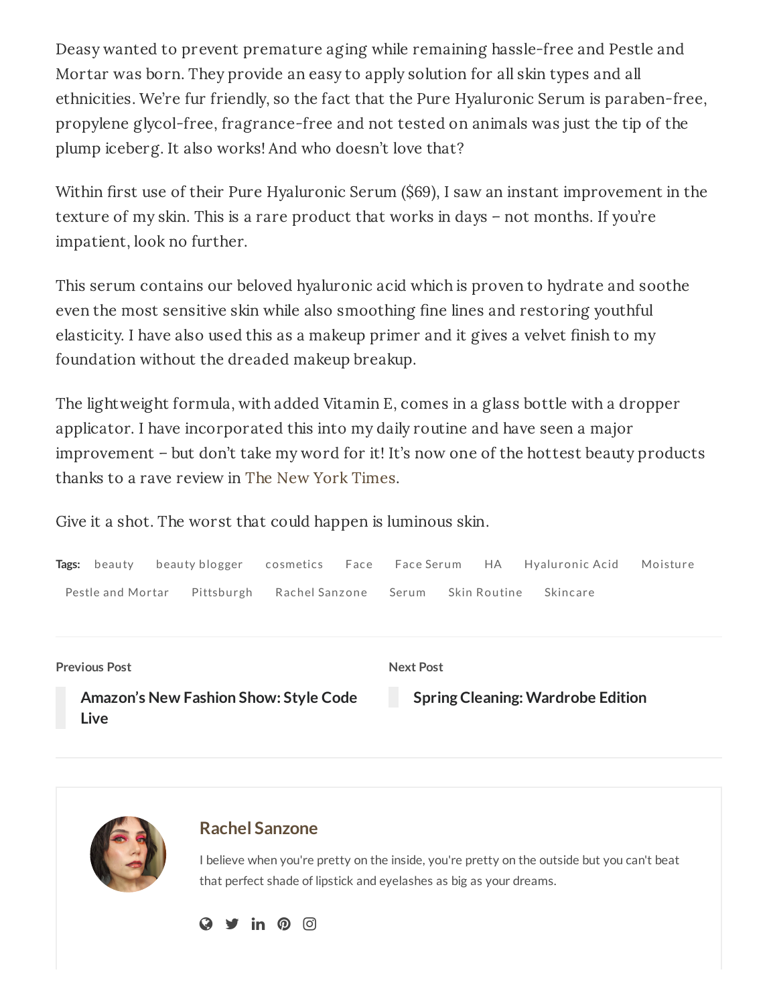Deasy wanted to prevent premature aging while remaining hassle-free and Pestle and Mortar was born. They provide an easy to apply solution for all skin types and all ethnicities. We're fur friendly, so the fact that the Pure Hyaluronic Serum is paraben-free, propylene glycol-free, fragrance-free and not tested on animals was just the tip of the plump iceberg. It also works! And who doesn't love that?

Within first use of their Pure Hyaluronic Serum (\$69), I saw an instant improvement in the texture of my skin. This is a rare product that works in days – not months. If you're impatient, look no further.

This serum contains our beloved hyaluronic acid which is proven to hydrate and soothe even the most sensitive skin while also smoothing fine lines and restoring youthful elasticity. I have also used this as a makeup primer and it gives a velvet finish to my foundation without the dreaded makeup breakup.

The lightweight formula, with added Vitamin E, comes in a glass bottle with a dropper applicator. I have incorporated this into my daily routine and have seen a major improvement – but don't take my word for it! It's now one of the hottest beauty products thanks to a rave review in The New York [Times](http://www.nytimes.com/2015/12/31/fashion/the-second-coming-of-hyaluronic-acid.html?_r=0).

Give it a shot. The worst that could happen is luminous skin.





#### **Rachel [Sanzone](http://maniacmagazine.com/author/rachel/)**

I believe when you're pretty on the inside, you're pretty on the outside but you can't beat that perfect shade of lipstick and eyelashes as big as your dreams.

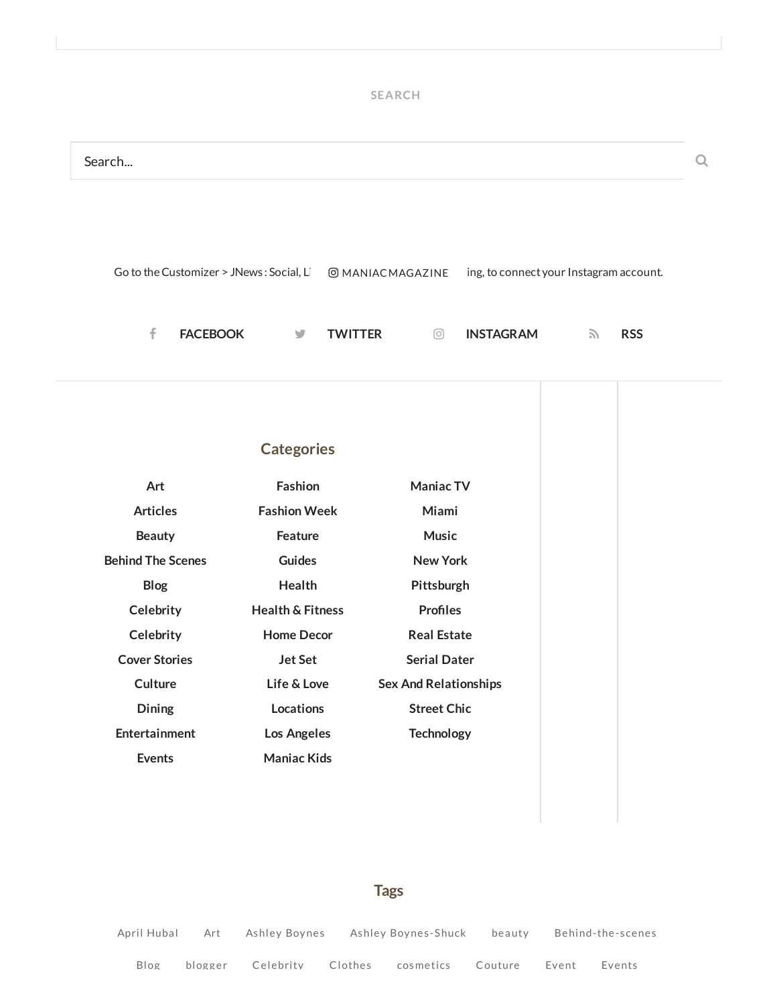#### **SEARCH**



#### **Tags**

April [Huba](http://maniacmagazine.com/tag/april-hubal/)l [Art](http://maniacmagazine.com/tag/art/) Ashley [Boynes](http://maniacmagazine.com/tag/ashley-boynes-shuck/) Ashley Boynes-Shuck [beauty](http://maniacmagazine.com/tag/beauty-2/) [Behind-the-scenes](http://maniacmagazine.com/tag/behind-the-scenes/) [Blog](http://maniacmagazine.com/tag/blog/) [blogger](http://maniacmagazine.com/tag/blogger/) [Celebrity](http://maniacmagazine.com/tag/celebrity/) [Clothes](http://maniacmagazine.com/tag/clothes/) [cosmetics](http://maniacmagazine.com/tag/cosmetics/) [Couture](http://maniacmagazine.com/tag/couture/) [Event](http://maniacmagazine.com/tag/event/) [Events](http://maniacmagazine.com/tag/events/)